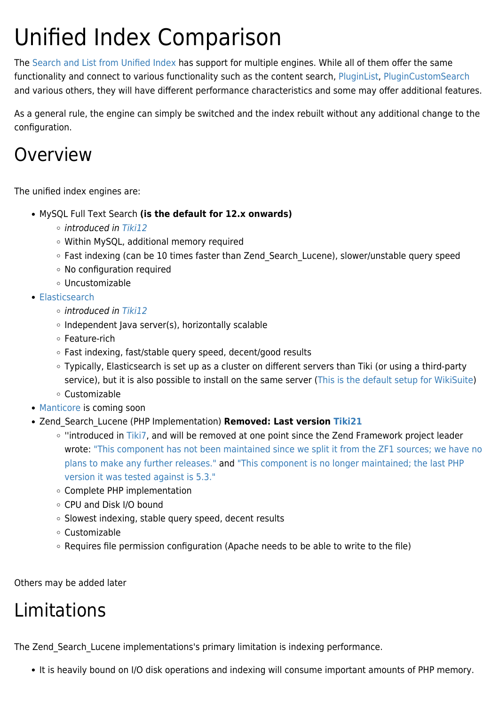# Unified Index Comparison

The [Search and List from Unified Index](https://doc.tiki.org/Search-and-List-from-Unified-Index) has support for multiple engines. While all of them offer the same functionality and connect to various functionality such as the content search, [PluginList,](https://doc.tiki.org/PluginList) [PluginCustomSearch](https://doc.tiki.org/PluginCustomSearch) and various others, they will have different performance characteristics and some may offer additional features.

As a general rule, the engine can simply be switched and the index rebuilt without any additional change to the configuration.

### Overview

The unified index engines are:

- MySQL Full Text Search **(is the default for 12.x onwards)**
	- $\circ$  introduced in [Tiki12](https://doc.tiki.org/Tiki12)
	- Within MySQL, additional memory required
	- Fast indexing (can be 10 times faster than Zend Search Lucene), slower/unstable query speed
	- No configuration required
	- Uncustomizable
- [Elasticsearch](https://doc.tiki.org/Elasticsearch)
	- $\circ$  introduced in [Tiki12](https://doc.tiki.org/Tiki12)
	- $\circ$  Independent Java server(s), horizontally scalable
	- Feature-rich
	- Fast indexing, fast/stable query speed, decent/good results
	- Typically, Elasticsearch is set up as a cluster on different servers than Tiki (or using a third-party service), but it is also possible to install on the same server [\(This is the default setup for WikiSuite\)](http://wikisuite.org/How-to-install-WikiSuite)
	- Customizable
- [Manticore](http://dev.tiki.org/Manticore) is coming soon
- Zend\_Search\_Lucene (PHP Implementation) **Removed: Last version [Tiki21](https://doc.tiki.org/Tiki21)**
	- "introduced in [Tiki7,](https://doc.tiki.org/Tiki7) and will be removed at one point since the Zend Framework project leader wrote: ["This component has not been maintained since we split it from the ZF1 sources; we have no](https://github.com/zendframework/ZendSearch/pull/23#issuecomment-312265313) [plans to make any further releases."](https://github.com/zendframework/ZendSearch/pull/23#issuecomment-312265313) and ["This component is no longer maintained; the last PHP](https://github.com/zendframework/ZendSearch/issues/24#issuecomment-289212582) [version it was tested against is 5.3."](https://github.com/zendframework/ZendSearch/issues/24#issuecomment-289212582)
	- Complete PHP implementation
	- CPU and Disk I/O bound
	- o Slowest indexing, stable query speed, decent results
	- Customizable
	- Requires file permission configuration (Apache needs to be able to write to the file)

Others may be added later

# Limitations

The Zend Search Lucene implementations's primary limitation is indexing performance.

It is heavily bound on I/O disk operations and indexing will consume important amounts of PHP memory.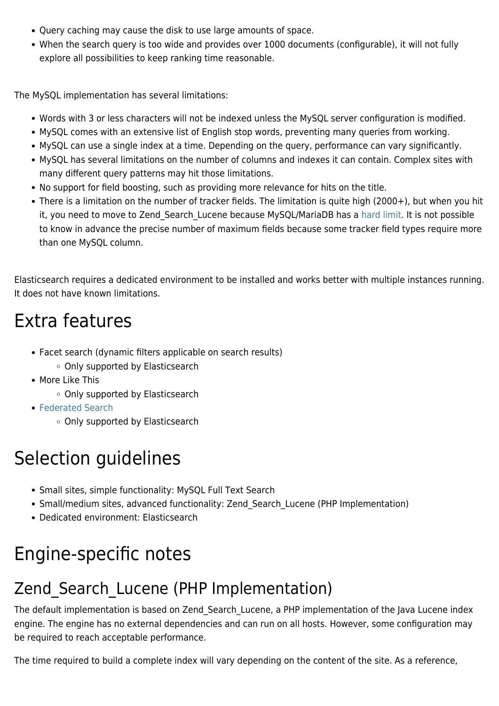- Query caching may cause the disk to use large amounts of space.
- When the search query is too wide and provides over 1000 documents (configurable), it will not fully explore all possibilities to keep ranking time reasonable.

The MySQL implementation has several limitations:

- Words with 3 or less characters will not be indexed unless the MySQL server configuration is modified.
- MySQL comes with an extensive list of English stop words, preventing many queries from working.
- MySQL can use a single index at a time. Depending on the query, performance can vary significantly.
- MySQL has several limitations on the number of columns and indexes it can contain. Complex sites with many different query patterns may hit those limitations.
- No support for field boosting, such as providing more relevance for hits on the title.
- There is a limitation on the number of tracker fields. The limitation is quite high (2000+), but when you hit it, you need to move to Zend Search Lucene because MySQL/MariaDB has a [hard limit.](https://dev.mysql.com/doc/mysql-reslimits-excerpt/5.7/en/column-count-limit.html#:~:text=MySQL%20has%20hard%20limit%20of,columns%20cannot%20exceed%20this%20size.) It is not possible to know in advance the precise number of maximum fields because some tracker field types require more than one MySQL column.

Elasticsearch requires a dedicated environment to be installed and works better with multiple instances running. It does not have known limitations.

# Extra features

- Facet search (dynamic filters applicable on search results)
	- Only supported by Elasticsearch
- More Like This
	- Only supported by Elasticsearch
- [Federated Search](https://doc.tiki.org/Federated-Search)
	- Only supported by Elasticsearch

# Selection guidelines

- Small sites, simple functionality: MySQL Full Text Search
- Small/medium sites, advanced functionality: Zend\_Search\_Lucene (PHP Implementation)
- Dedicated environment: Elasticsearch

# Engine-specific notes

### Zend Search Lucene (PHP Implementation)

The default implementation is based on Zend Search Lucene, a PHP implementation of the Java Lucene index engine. The engine has no external dependencies and can run on all hosts. However, some configuration may be required to reach acceptable performance.

The time required to build a complete index will vary depending on the content of the site. As a reference,